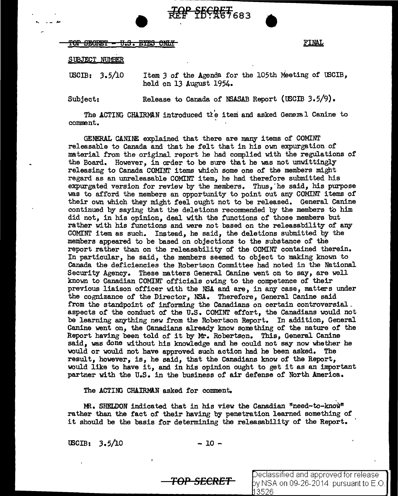# ••• .. - *,s,.* •  $\begin{array}{l} \text{for } \text{shm} \to \text{H.S.} \end{array}$  which is the set of  $\begin{array}{l} \text{FINAL} \end{array}$

# §lJBJECT NUMBER

USCIB: 3.5/10 Item *3* of the Agenda for the 105th Meeting of tBCIB, held on 13 August 1954.

Subject: Release to Canada of NSASAB Report (IBCIB 3.5/9).

The ACTING CHAIRMAN introduced the item and asked General Canine to comment.

GENERAL CANINE explained that there are many items of COMINT releasable to Canada and that he felt that in his own expurgation of material from the original report he had complied with the regulations of the Board. However, in order to be sure that he was not unwittingly releasing to Canada COMINI' items which some one of the members might regard as an unreleasable COMINT item, he had therefore submitted his expurgated version for review by the members. Thus,"he said, his purpose was to afford the members an opportunity to point out any COMINT items of their own which they might feel ought not to be released. General Canine continued by saying that the deletions recommended by the members to him did not, in his opinion, deal with the functions of those members but rather with his functions and were not based on the releasability of any COMINT item as such. Instead, he said, the deletions submitted by the members appeared to be based on objections to the substance of the report rather than on the releasability of the COMINT contained therein. In particular, he said, the members seemed to object to making known to Canada the deficiencies the Robertson Committee had noted in the National Security Agency. These matters General Canine went on to say, are well known to Canadian COMINI' officials owing to the competence of their previous liaison officer with the NSA and are, in any case, matters under the cognizance of the Director, NSA. Therefore, General Canine said from the standpoint of informing the Canadians on certain controversial. aspects of the conduct of the UaS. COMINT effort, the Canadians would not be learning anything new from the Robertson Report. In addition, General Canine went on, the Canadians already know something of the nature of the Report having been told of it by Mr. Robertson. This, General Canine said, was done without his knowledge and he could not say now whether he would or would not have approved such action had he been asked. The result, however, is, he said, that the Canadians know of the Report, would like to have it, and in his opinion ought to get it as an important partner with the U.S. in the business of air defense of North America.

The ACTING CHAIRMAN asked for comment.

 $MR.$  SHELDON indicated that in his view the Canadian "need-to-know" rather than the fact of their having by penetration learned something of it should be the basis for determining the releasability of the Report.

 $\text{USCIB:} \quad 3.5/10 \quad -10 -$ 

**TOP SECRET** 

eclassified and approved for release y NSA on 09-26-2014 pursuant to E.O. 3526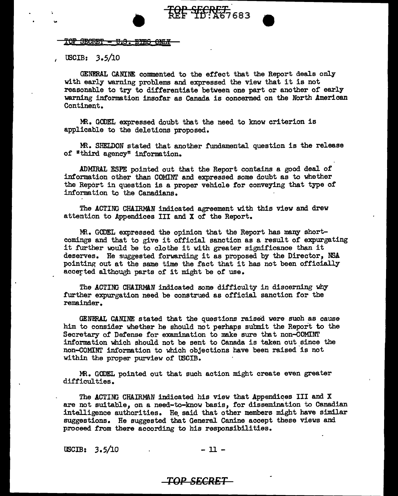<u> FOP SECRET - U.S. EYES ONLY</u>

 $\text{USCIB: } 3.5/10$ 

GENERAL CANINE commented to the effect that the Report deals only with early warning problems and expressed the view that it is not reasonable to try to differentiate between one part or another of early warning information insofar as Canada is concerned on the North American Continent.

TOP SECRET<br>REF TD: A67683

MR. GODEL expressed doubt that the need to know criterion is applicable to the deletions proposed.

MR. SHELDON stated that another fundamental question is the release of "third agency" information.

ADMIRAL ESPE pointed out that the Report contains a good deal of information other than COMINT and expressed some doubt as to whether the Report in question is a proper vehicle for conveying that type of information to the Canadians.

The ACTING CHAIRMAN indicated agreement with this view and drew attention to Appendices III and X of the Report.

MR. GODEL expressed the opinion that the Report has many shortcomings and that to give it official sanction as a result of expurgating it further would be to clothe it with greater significance than it deserves. He suggested forwarding it as proposed by the Director, NSA pointing out at the same time the fact that it has not been officially accerted although parts of it might be of use.

The ACTING CHAIRMAN indicated some difficulty in discerning why further expurgation need be construed as official sanction for the remainder.

GENERAL CANINE stated that the questions raised were such as cause him to consider whether he should not perhaps submit the Report to the Secretary of Defense for examination to make sure that non-COMINT information which should not be sent to Canada is taken out since the non-COMINT information to which objections have been raised 'is not within the proper purview of USCIB.

m. GODEL pointed out that such action might create even greater difficulties.

The ACTING CHAIRMAN indicated his view that Appendices III and X are not suitable, on a need-to-know basis, for dissemination to Canadian intelligence authorities. He. said that other members might have similar suggestions. He suggested that General Canine accept these views and proceed from there according to his responsibilities.

 $\text{USCIB:} \quad 3.5/10 \qquad \qquad -11 -$ 

#### **TOP SECRET**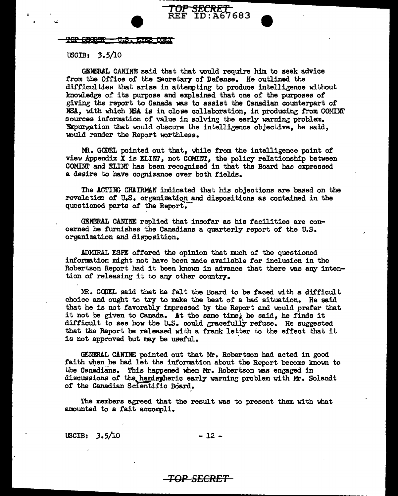<u> POP SECRET - U.S. ETES ONLT</u>

 $\texttt{USCIB:} \quad 3.5/10$ 

GENERAL CANINE said that that would require him to seek advice from the Office of the Secretary of Defense. He outlined the difficulties that arise in attempting to produce intelligence without knowledge of its purpose and explained that one of the purposes or giving the report to Canada was to assist the Canadian counterpart of NSA, with which *NSA.* is in close collaboration, in producing from COMINT sources information of value in solving the early warning problem. Expurgation that would obscure the intelligence objective, be said, would render the Report worthless.

*SECRET*<br>ID:A67683

MR. GCDEL pointed out that, while from the intelligence point of view Appendix  $\bar{X}$  is ELINT, not COMINT, the policy relationship between COMINT and ELINT has been recognized in that the Board has expressed a desire to have cognizance over both fields.

The ACTING CHAIRMAN indicated that his objections are based on the revelaticn of U.S. organization and dispositions as contained in the questioned parts of the Report.

GENERAL CANINE replied that insofar as his facilities are concerned he furnishes the Canadians a quarterly report of the U.S. organization and disposition.

ADMIRAL ESPE offered the opinion that much of the questioned information might not have been made available for inclusion in the Robertson Report had it been know in advance that there was any intention of releasing it to any other country.

MR. GODEL said that he felt the Board to be faced with a difficult choice and ought to try to make the best of a bad situation. He said that he is not favorably impressed by the Report and would prefer that it not be given to Canada. At the same time, he said, he finds it difficult to see how the U.S. could gracefully refuse. He suggested that the Report be released with a frank letter to the effect that it is not approved but may be useful.

GENERAL CANINE pointed out that Mr. Robertson had acted in good faith when he had let the information about the Report become known to the Canadians. This happened when Mr. Robertson was engaged in discussions of the hemispheric early warning problem with Mr. Solandt of the Canadian Scientific Board.

The members agreed that the result was to present them with what amounted to a fait accompli.

*TOP SECRET* 

~

lBCIB: *3.* 5/10 - 12 -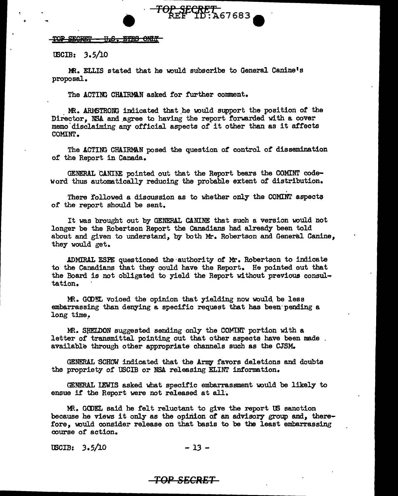#### TOP SECRET - U.S. BYES ONLY

tECIB: *3.* 5/10

MR. ELLIS stated that he would subscribe to General Canine's proposal.

<del>TOP\_SECRET\_</del><br>REF\_ID:A67683

The ACTING CHAIRMAN asked for further comment.

MR. ARMSTRONG indicated that he would support the position of the Director. NSA and agree to having the report forwarded with a cover memo disclaiming any official aspects of it other than as it affects COMINT.

The ACTING CHAIRMAN posed the question of control of dissemination of the Report in Canada.

GENERAL CANINE pointed out that the Report bears the COMINT codeword thus automatically reducing the probable extent of distribution.

There followed a discussion as to whether only the COMINT aspects of the report should be sent.

It was brought out by GENERAL CANINE that such a version wuld not longer be the Robertson Report the Canadians had already been told about and given to understand, by both Mr. Robertson and General Canine, they would get.

ADMIRAL ESPE questioned the ·authority of Mr. Robertson to indicate to the Canadians that they could have the Report. He pointed out that the Board is not obligated to yield the Report without previous consul-. tation.

Mt. GCDEL voiced the opinion that yielding now would. be less embarrassing than denying a specific request that has been·pending a long time.

MR. SHELDON suggested sending only the COMINI portion with a letter of transmittal pointing out that other aspects have been made. available through other appropriate channels such as the CJSM.

GENERAL SCHOW indicated that the Army favors deletions and doubts the propriety of USCIB or NSA releasing ELINT information.

GENERAL LEWIS asked what specific embarrassment would be likely to ensue if the Report were not released at all.

MR. GODEL said he felt reluctant to give the report US sanction because he views it only as the opinion of an advisory group and, therefore, wuld consider release on that basis to be the least embarrassing course of action.

uscib: 3.5/10 - 13 -

*TOP SECR'BT*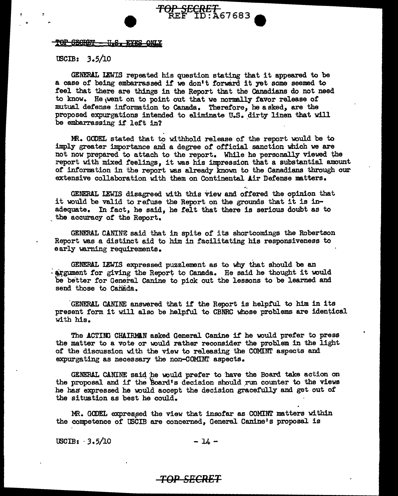#### <del>TOP SECRET</del> <del>- U.S. EYES OMY</del>

# $tSCIB: 3.5/10$

GENERAL I&IIS repeated his question stating that it appeared to be a case of being embarrassed if we don't forward it yet some seemed to feel that there are things in the Report that the Canadians do not need to know. He went on to point out that we normally favor release of mutual defense information to Canada. Therefore, he asked, are the proposed expurgations intended to eliminate U.S. dirty linen that will be embarrassing if left in?

**TOP SECRET**<br>REF ID:A67683

MR. GODEL stated that to withhold release of the report would be to imply greater importance and a degree of official sanction which we are not now prepared to attach to the report. While he personally viewed the report with mixed feelings, it was his impression that a substantial amount of information in the report was already known to the Canadians through our extensive collaboration with them on Continental Air Defense matters.

GENERAL LEWIS disagreed with this view and offered the opinion that it would be valid to refuse the Report on the grounds that it is inadequate. In fact, he said, he felt that there is serious doubt as to the accuracy of the Report.

GENERAL CANINE said that in spite or its shortcomings the Robertson Report was a distinct aid to him in facilitating his responsiveness to early warning requirements.

GENERAL LEWIS expressed puzzlement as to why that should be an  $\frac{1}{2}$  argument for giving the Report to Canada. He said he thought it would be better for General Canine to pick out the lessons to be learned and send those to Canada.

GENERAL CANINE answered that if the Report is helpful to him in its present form it will also be helpful to CBNRC whose problems are identical with his.

The ACTING CHAIRMAN asked General Canine if he would prefer to press the matter to a vote or would rather reconsider the problem in the light of the discussion with the view to releasing the COMINT aspects and expurgating as necessary the non-COMINI' aspects.

GENERAL CANINE said he would prefer to have the Board take action on the proposal and if the Board's decision should run counter to the views he has expressed he would accept the decision gracefully and get out of the situation as best he could.

MR. GODEL expressed the view that insofar as COMINT matters within the competence of USCIB are concerned, General Canine's proposal is

 $\text{USCIB:} \quad 3.5/10$  - 14 -

#### *TOP SB'CRET*